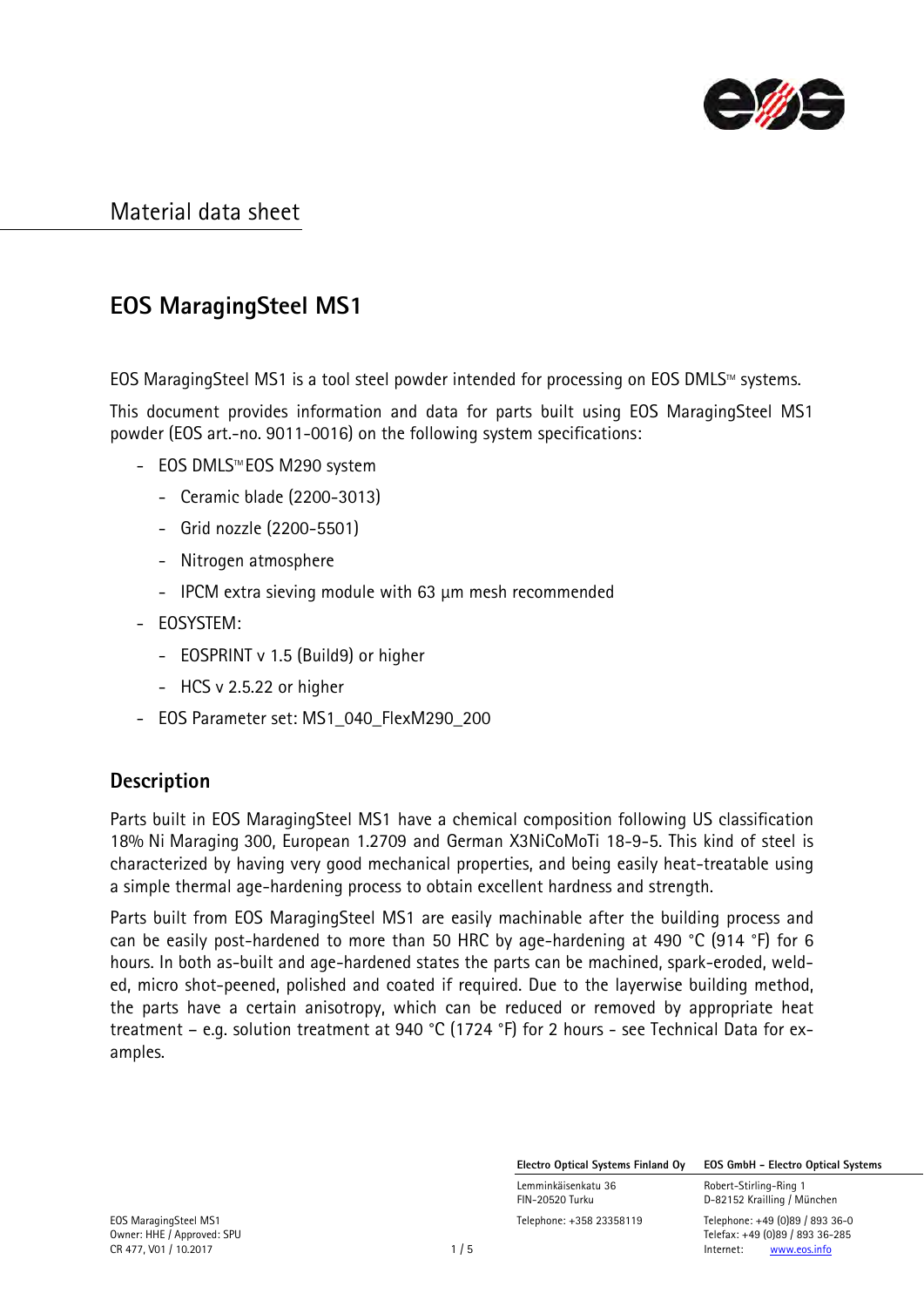

# **EOS MaragingSteel MS1**

EOS MaragingSteel MS1 is a tool steel powder intended for processing on EOS DMLS $M$  systems.

This document provides information and data for parts built using EOS MaragingSteel MS1 powder (EOS art.-no. 9011-0016) on the following system specifications:

- EOS DMLS™EOS M290 system
	- Ceramic blade (2200-3013)
	- Grid nozzle (2200-5501)
	- Nitrogen atmosphere
	- IPCM extra sieving module with 63 µm mesh recommended
- EOSYSTEM:
	- EOSPRINT v 1.5 (Build9) or higher
	- HCS v 2.5.22 or higher
- EOS Parameter set: MS1\_040\_FlexM290\_200

## **Description**

Parts built in EOS MaragingSteel MS1 have a chemical composition following US classification 18% Ni Maraging 300, European 1.2709 and German X3NiCoMoTi 18-9-5. This kind of steel is characterized by having very good mechanical properties, and being easily heat-treatable using a simple thermal age-hardening process to obtain excellent hardness and strength.

Parts built from EOS MaragingSteel MS1 are easily machinable after the building process and can be easily post-hardened to more than 50 HRC by age-hardening at 490 °C (914 °F) for 6 hours. In both as-built and age-hardened states the parts can be machined, spark-eroded, welded, micro shot-peened, polished and coated if required. Due to the layerwise building method, the parts have a certain anisotropy, which can be reduced or removed by appropriate heat treatment – e.g. solution treatment at 940 °C (1724 °F) for 2 hours - see Technical Data for examples.

**Electro Optical Systems Finland Oy EOS GmbH - Electro Optical Systems**

Lemminkäisenkatu 36 Robert-Stirling-Ring 1

FIN-20520 Turku D-82152 Krailling / München

EOS MaragingSteel MS1 Telephone: +358 23358119 Telephone: +49 (0)89 / 893 36-0 Owner: HHE / Approved: SPU Telefax: +49 (0)89 / 893 36-285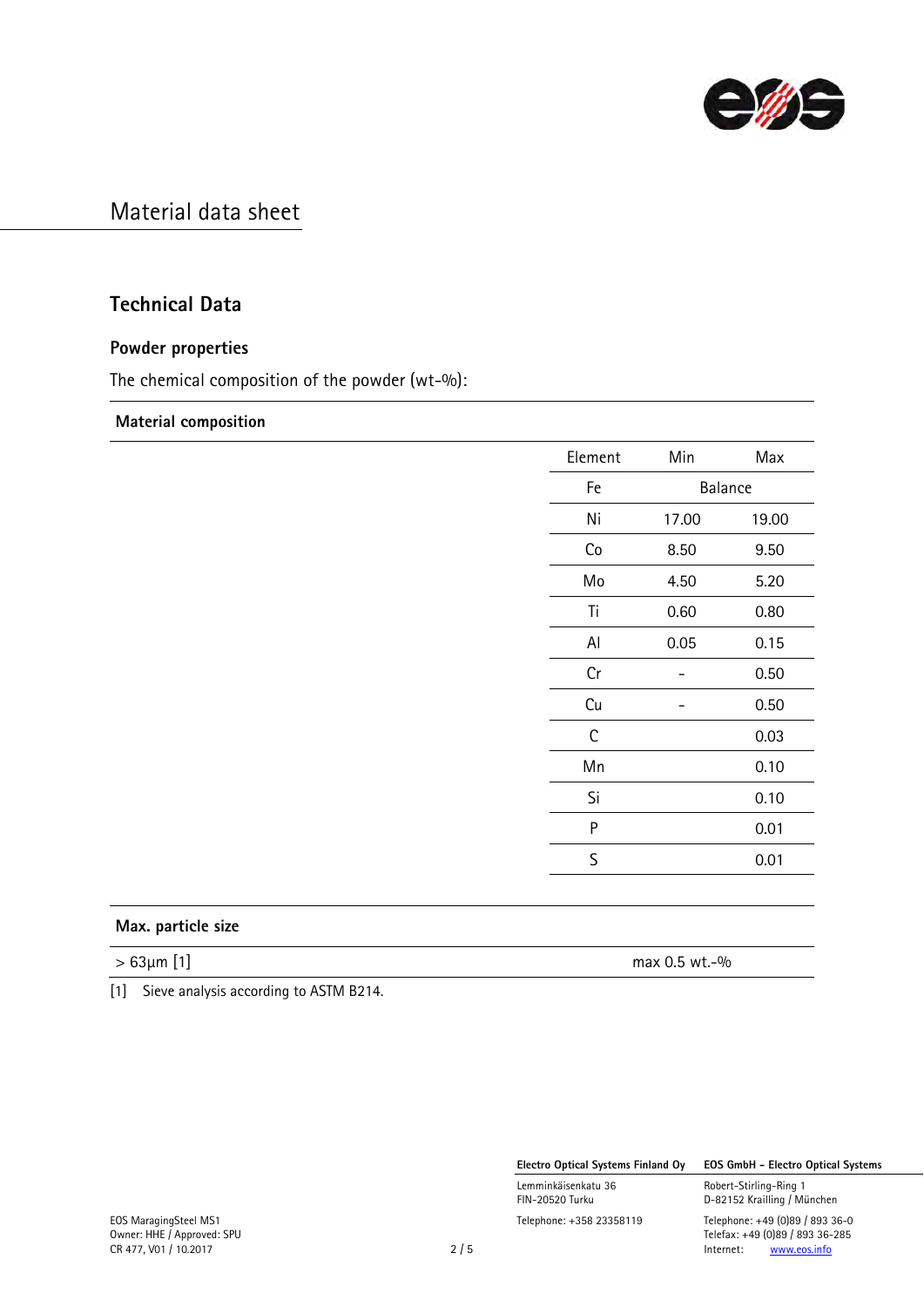

## **Technical Data**

### **Powder properties**

The chemical composition of the powder (wt-%):

#### **Material composition**

| Element             | Min     | Max      |
|---------------------|---------|----------|
| Fe                  | Balance |          |
| Ni                  | 17.00   | 19.00    |
| $\mathop{{\rm Co}}$ | 8.50    | 9.50     |
| Mo                  | 4.50    | 5.20     |
| Ti                  | 0.60    | 0.80     |
| Al                  | 0.05    | 0.15     |
| Cr                  | -       | 0.50     |
| Cu                  |         | $0.50\,$ |
| $\mathsf C$         |         | 0.03     |
| Mn                  |         | 0.10     |
| Si                  |         | 0.10     |
| ${\sf P}$           |         | 0.01     |
| $\mathsf S$         |         | 0.01     |

### **Max. particle size**

 $> 63 \mu m$  [1] max 0.5 wt.-%

[1] Sieve analysis according to ASTM B214.

**Electro Optical Systems Finland Oy EOS GmbH - Electro Optical Systems**

Lemminkäisenkatu 36 Robert-Stirling-Ring 1

D-82152 Krailling / München Telefax: +49 (0)89 / 893 36-285<br>2 / 5 <br>Internet: www.eos.info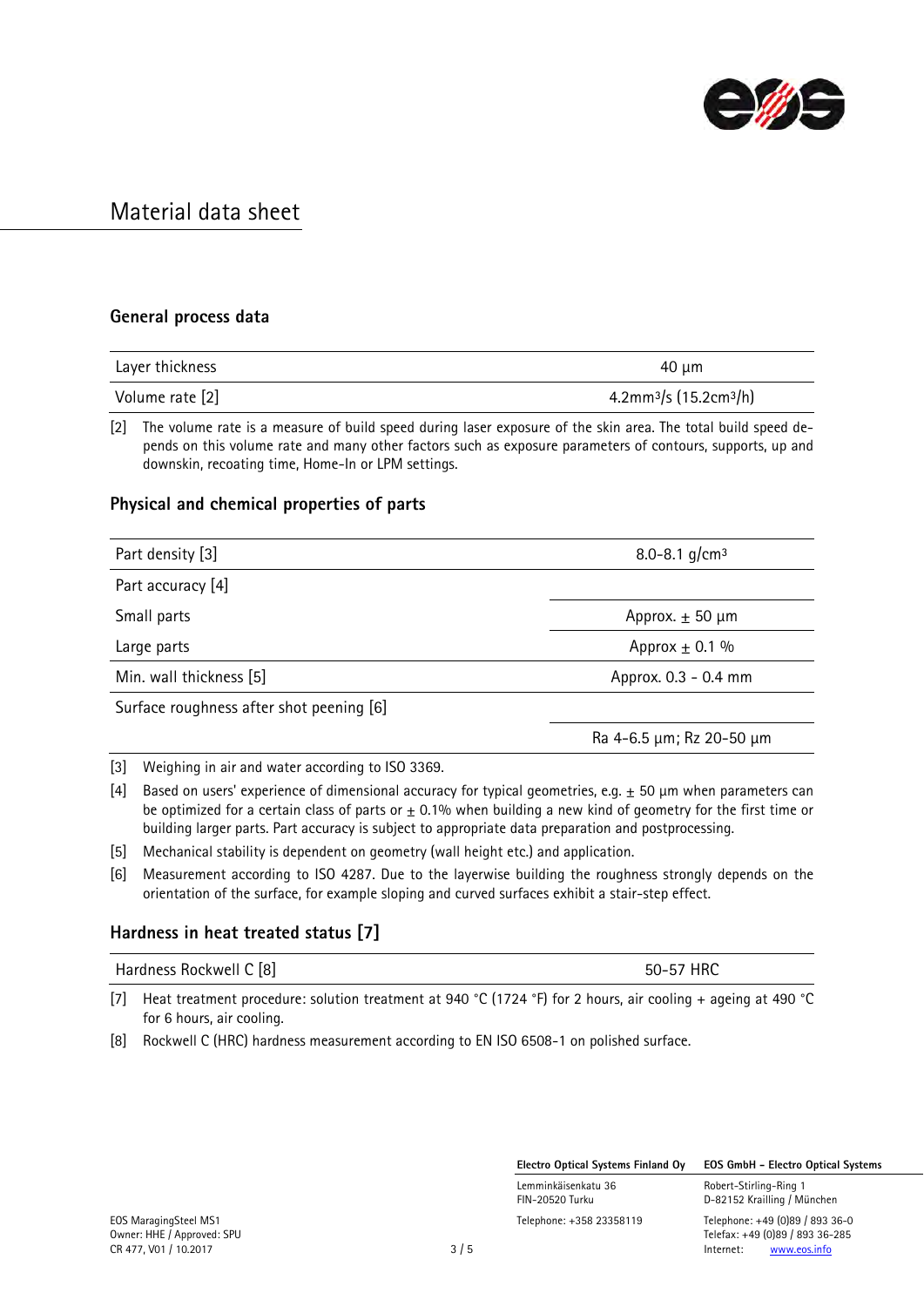

#### **General process data**

| Layer thickness | 40 µm                                          |  |  |
|-----------------|------------------------------------------------|--|--|
| Volume rate [2] | 4.2mm <sup>3</sup> /s (15.2cm <sup>3</sup> /h) |  |  |

[2] The volume rate is a measure of build speed during laser exposure of the skin area. The total build speed depends on this volume rate and many other factors such as exposure parameters of contours, supports, up and downskin, recoating time, Home-In or LPM settings.

#### **Physical and chemical properties of parts**

| Part density [3]                         | 8.0-8.1 g/cm <sup>3</sup> |
|------------------------------------------|---------------------------|
| Part accuracy [4]                        |                           |
| Small parts                              | Approx. $\pm$ 50 µm       |
| Large parts                              | Approx $\pm$ 0.1 %        |
| Min. wall thickness [5]                  | Approx. 0.3 - 0.4 mm      |
| Surface roughness after shot peening [6] |                           |

Ra 4-6.5 µm; Rz 20-50 µm

[3] Weighing in air and water according to ISO 3369.

- [4] Based on users' experience of dimensional accuracy for typical geometries, e.g.  $\pm$  50 µm when parameters can be optimized for a certain class of parts or  $\pm$  0.1% when building a new kind of geometry for the first time or building larger parts. Part accuracy is subject to appropriate data preparation and postprocessing.
- [5] Mechanical stability is dependent on geometry (wall height etc.) and application.
- [6] Measurement according to ISO 4287. Due to the layerwise building the roughness strongly depends on the orientation of the surface, for example sloping and curved surfaces exhibit a stair-step effect.

## **Hardness in heat treated status [7]**

| Hardness Rockwell C [8] |  | 50-57 HRC                                                                                                        |  |
|-------------------------|--|------------------------------------------------------------------------------------------------------------------|--|
|                         |  | [7] Heat treatment procedure: solution treatment at 940 °C (1724 °F) for 2 hours, air cooling + ageing at 490 °C |  |

[7] Heat treatment procedure: solution treatment at 940 °C (1724 °F) for 2 hours, air cooling + ageing at 490 °C for 6 hours, air cooling.

[8] Rockwell C (HRC) hardness measurement according to EN ISO 6508-1 on polished surface.

**Electro Optical Systems Finland Oy EOS GmbH - Electro Optical Systems**

Lemminkäisenkatu 36 Robert-Stirling-Ring 1 FIN-20520 Turku D-82152 Krailling / München EOS MaragingSteel MS1 Telephone: +358 23358119 Telephone: +49 (0)89 / 893 36-0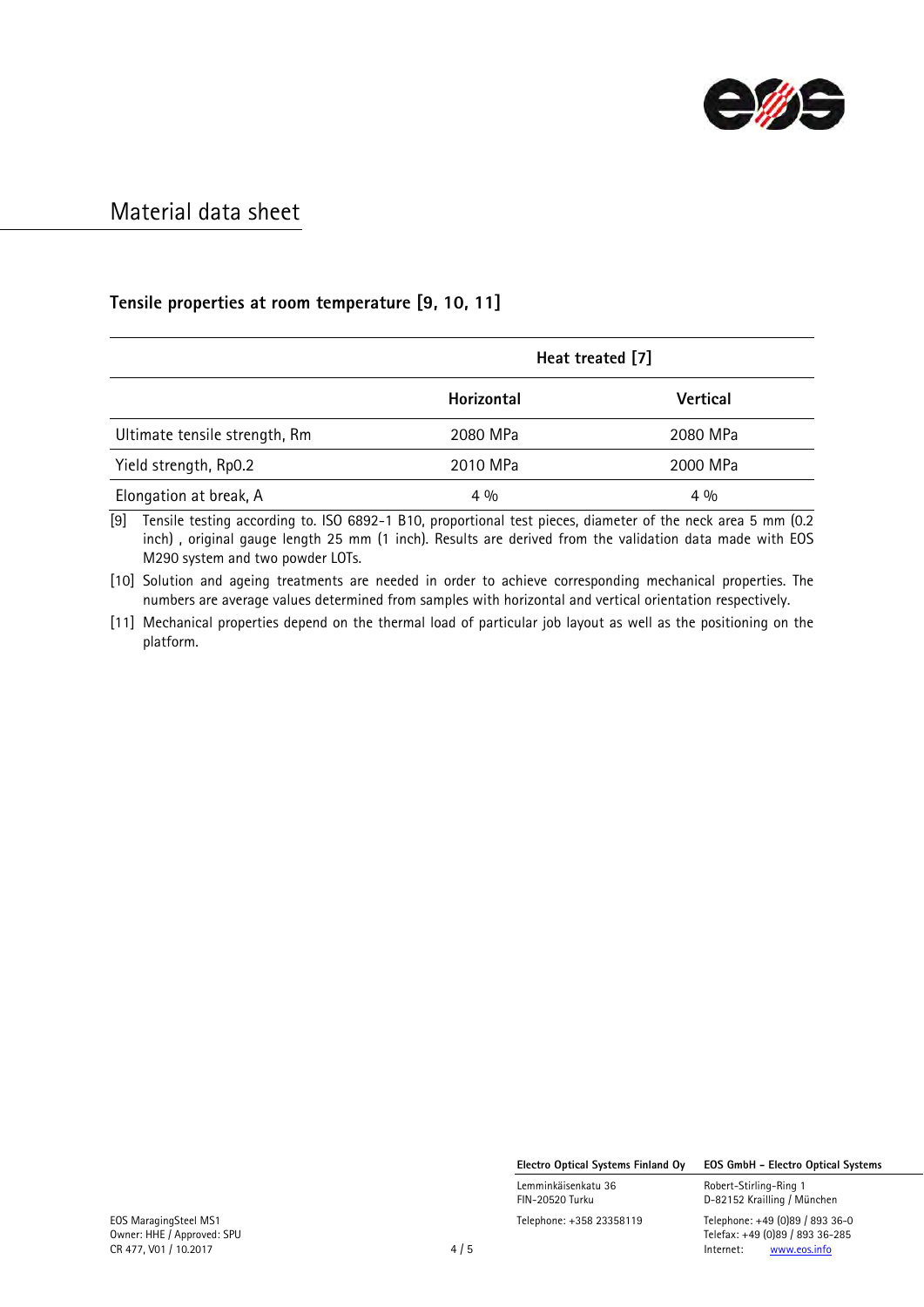

## **Tensile properties at room temperature [9, 10, 11]**

|                               | Heat treated [7] |                 |
|-------------------------------|------------------|-----------------|
|                               | Horizontal       | <b>Vertical</b> |
| Ultimate tensile strength, Rm | 2080 MPa         | 2080 MPa        |
| Yield strength, Rp0.2         | 2010 MPa         | 2000 MPa        |
| Elongation at break, A        | $4\frac{0}{0}$   | $4\frac{0}{0}$  |

[9] Tensile testing according to. ISO 6892-1 B10, proportional test pieces, diameter of the neck area 5 mm (0.2 inch) , original gauge length 25 mm (1 inch). Results are derived from the validation data made with EOS M290 system and two powder LOTs.

[10] Solution and ageing treatments are needed in order to achieve corresponding mechanical properties. The numbers are average values determined from samples with horizontal and vertical orientation respectively.

[11] Mechanical properties depend on the thermal load of particular job layout as well as the positioning on the platform.

**Electro Optical Systems Finland Oy EOS GmbH - Electro Optical Systems**

Lemminkäisenkatu 36 Robert-Stirling-Ring 1<br>FIN-20520 Turku 1988 Robert-Stirling / Mi

D-82152 Krailling / München EOS MaragingSteel MS1 Telephone: +358 23358119 Telephone: +49 (0)89 / 893 36-0

Owner: HHE / Approved: SPU Telefax: +49 (0)89 / 893 36-285 CR 477, V01 / 10.2017 10.2017 10.2017 10.2017 10.2017 10.2017 10.2017 10.2017 10.2017 10.2017 10.2017 10.2017